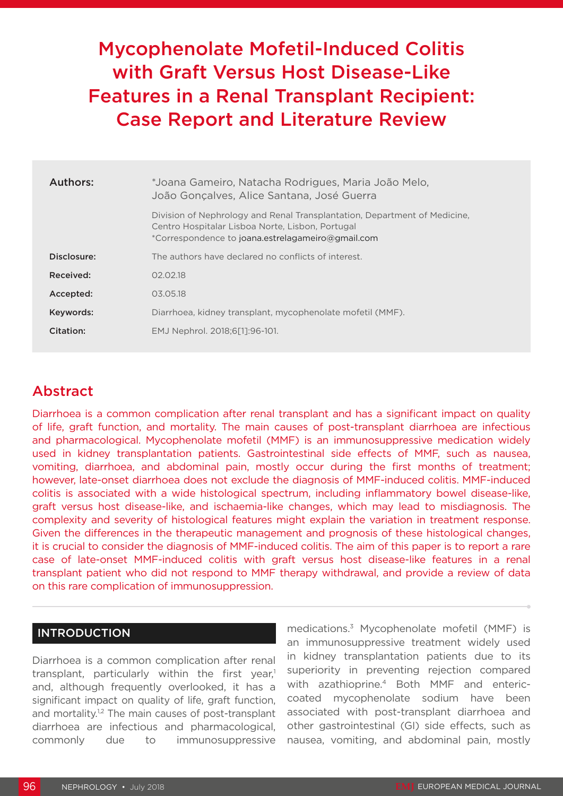# Mycophenolate Mofetil-Induced Colitis with Graft Versus Host Disease-Like Features in a Renal Transplant Recipient: Case Report and Literature Review

| Authors:    | *Joana Gameiro, Natacha Rodrigues, Maria João Melo,<br>João Gonçalves, Alice Santana, José Guerra                                                                                  |
|-------------|------------------------------------------------------------------------------------------------------------------------------------------------------------------------------------|
|             | Division of Nephrology and Renal Transplantation, Department of Medicine,<br>Centro Hospitalar Lisboa Norte, Lisbon, Portugal<br>*Correspondence to joana.estrelagameiro@gmail.com |
| Disclosure: | The authors have declared no conflicts of interest.                                                                                                                                |
| Received:   | 02.02.18                                                                                                                                                                           |
| Accepted:   | 03.05.18                                                                                                                                                                           |
| Keywords:   | Diarrhoea, kidney transplant, mycophenolate mofetil (MMF).                                                                                                                         |
| Citation:   | EMJ Nephrol. 2018;6[1]:96-101.                                                                                                                                                     |

## Abstract

Diarrhoea is a common complication after renal transplant and has a significant impact on quality of life, graft function, and mortality. The main causes of post-transplant diarrhoea are infectious and pharmacological. Mycophenolate mofetil (MMF) is an immunosuppressive medication widely used in kidney transplantation patients. Gastrointestinal side effects of MMF, such as nausea, vomiting, diarrhoea, and abdominal pain, mostly occur during the first months of treatment; however, late-onset diarrhoea does not exclude the diagnosis of MMF-induced colitis. MMF-induced colitis is associated with a wide histological spectrum, including inflammatory bowel disease-like, graft versus host disease-like, and ischaemia-like changes, which may lead to misdiagnosis. The complexity and severity of histological features might explain the variation in treatment response. Given the differences in the therapeutic management and prognosis of these histological changes, it is crucial to consider the diagnosis of MMF-induced colitis. The aim of this paper is to report a rare case of late-onset MMF-induced colitis with graft versus host disease-like features in a renal transplant patient who did not respond to MMF therapy withdrawal, and provide a review of data on this rare complication of immunosuppression.

## INTRODUCTION

Diarrhoea is a common complication after renal transplant, particularly within the first year.<sup>1</sup> and, although frequently overlooked, it has a significant impact on quality of life, graft function, and mortality.<sup>1,2</sup> The main causes of post-transplant diarrhoea are infectious and pharmacological, commonly due to immunosuppressive

medications.3 Mycophenolate mofetil (MMF) is an immunosuppressive treatment widely used in kidney transplantation patients due to its superiority in preventing rejection compared with azathioprine.4 Both MMF and entericcoated mycophenolate sodium have been associated with post-transplant diarrhoea and other gastrointestinal (GI) side effects, such as nausea, vomiting, and abdominal pain, mostly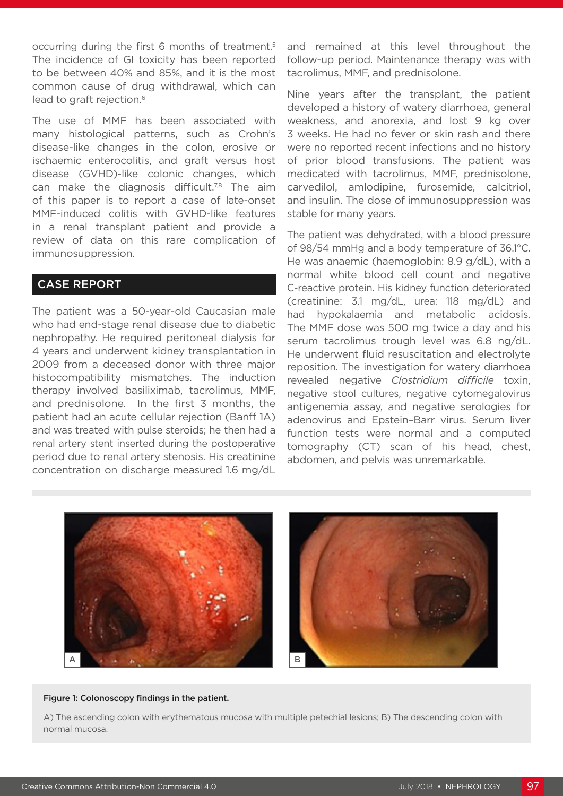occurring during the first 6 months of treatment.5 The incidence of GI toxicity has been reported to be between 40% and 85%, and it is the most common cause of drug withdrawal, which can lead to graft rejection.<sup>6</sup>

The use of MMF has been associated with many histological patterns, such as Crohn's disease-like changes in the colon, erosive or ischaemic enterocolitis, and graft versus host disease (GVHD)-like colonic changes, which can make the diagnosis difficult.<sup>7,8</sup> The aim of this paper is to report a case of late-onset MMF-induced colitis with GVHD-like features in a renal transplant patient and provide a review of data on this rare complication of immunosuppression.

## CASE REPORT

The patient was a 50-year-old Caucasian male who had end-stage renal disease due to diabetic nephropathy. He required peritoneal dialysis for 4 years and underwent kidney transplantation in 2009 from a deceased donor with three major histocompatibility mismatches. The induction therapy involved basiliximab, tacrolimus, MMF, and prednisolone. In the first 3 months, the patient had an acute cellular rejection (Banff 1A) and was treated with pulse steroids; he then had a renal artery stent inserted during the postoperative period due to renal artery stenosis. His creatinine concentration on discharge measured 1.6 mg/dL

and remained at this level throughout the follow-up period. Maintenance therapy was with tacrolimus, MMF, and prednisolone.

Nine years after the transplant, the patient developed a history of watery diarrhoea, general weakness, and anorexia, and lost 9 kg over 3 weeks. He had no fever or skin rash and there were no reported recent infections and no history of prior blood transfusions. The patient was medicated with tacrolimus, MMF, prednisolone, carvedilol, amlodipine, furosemide, calcitriol, and insulin. The dose of immunosuppression was stable for many years.

The patient was dehydrated, with a blood pressure of 98/54 mmHg and a body temperature of 36.1°C. He was anaemic (haemoglobin: 8.9 g/dL), with a normal white blood cell count and negative C-reactive protein. His kidney function deteriorated (creatinine: 3.1 mg/dL, urea: 118 mg/dL) and had hypokalaemia and metabolic acidosis. The MMF dose was 500 mg twice a day and his serum tacrolimus trough level was 6.8 ng/dL. He underwent fluid resuscitation and electrolyte reposition. The investigation for watery diarrhoea revealed negative *Clostridium difficile* toxin, negative stool cultures, negative cytomegalovirus antigenemia assay, and negative serologies for adenovirus and Epstein–Barr virus. Serum liver function tests were normal and a computed tomography (CT) scan of his head, chest, abdomen, and pelvis was unremarkable.



#### Figure 1: Colonoscopy findings in the patient.

A) The ascending colon with erythematous mucosa with multiple petechial lesions; B) The descending colon with normal mucosa.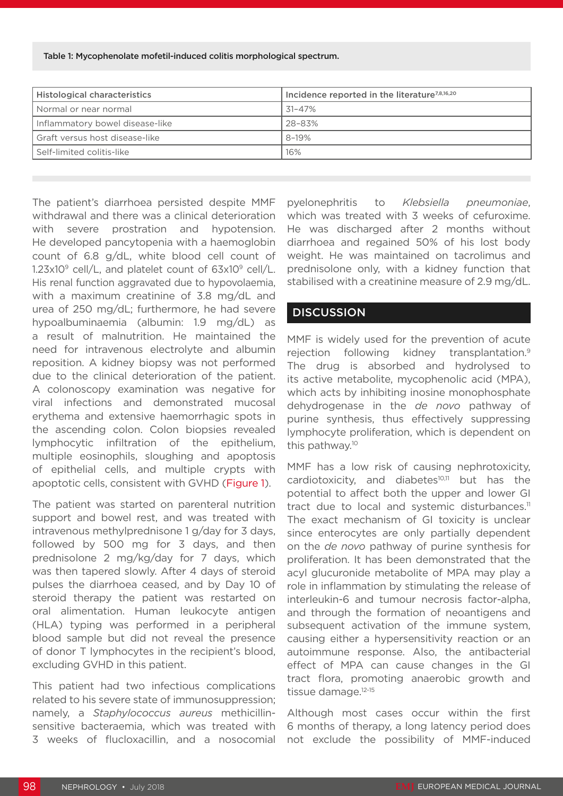Table 1: Mycophenolate mofetil-induced colitis morphological spectrum.

| <b>Histological characteristics</b> | Incidence reported in the literature <sup>7,8,16,20</sup> |
|-------------------------------------|-----------------------------------------------------------|
| l Normal or near normal             | 31-47%                                                    |
| Inflammatory bowel disease-like     | 28-83%                                                    |
| Graft versus host disease-like      | $8 - 19%$                                                 |
| Self-limited colitis-like           | 16%                                                       |

The patient's diarrhoea persisted despite MMF withdrawal and there was a clinical deterioration with severe prostration and hypotension. He developed pancytopenia with a haemoglobin count of 6.8 g/dL, white blood cell count of  $1.23x10^9$  cell/L, and platelet count of  $63x10^9$  cell/L. His renal function aggravated due to hypovolaemia, with a maximum creatinine of 3.8 mg/dL and urea of 250 mg/dL; furthermore, he had severe hypoalbuminaemia (albumin: 1.9 mg/dL) as a result of malnutrition. He maintained the need for intravenous electrolyte and albumin reposition. A kidney biopsy was not performed due to the clinical deterioration of the patient. A colonoscopy examination was negative for viral infections and demonstrated mucosal erythema and extensive haemorrhagic spots in the ascending colon. Colon biopsies revealed lymphocytic infiltration of the epithelium, multiple eosinophils, sloughing and apoptosis of epithelial cells, and multiple crypts with apoptotic cells, consistent with GVHD (Figure 1).

The patient was started on parenteral nutrition support and bowel rest, and was treated with intravenous methylprednisone 1 g/day for 3 days, followed by 500 mg for 3 days, and then prednisolone 2 mg/kg/day for 7 days, which was then tapered slowly. After 4 days of steroid pulses the diarrhoea ceased, and by Day 10 of steroid therapy the patient was restarted on oral alimentation. Human leukocyte antigen (HLA) typing was performed in a peripheral blood sample but did not reveal the presence of donor T lymphocytes in the recipient's blood, excluding GVHD in this patient.

This patient had two infectious complications related to his severe state of immunosuppression; namely, a *Staphylococcus aureus* methicillinsensitive bacteraemia, which was treated with 3 weeks of flucloxacillin, and a nosocomial

pyelonephritis to *Klebsiella pneumoniae*, which was treated with 3 weeks of cefuroxime. He was discharged after 2 months without diarrhoea and regained 50% of his lost body weight. He was maintained on tacrolimus and prednisolone only, with a kidney function that stabilised with a creatinine measure of 2.9 mg/dL.

## **DISCUSSION**

MMF is widely used for the prevention of acute rejection following kidney transplantation.<sup>9</sup> The drug is absorbed and hydrolysed to its active metabolite, mycophenolic acid (MPA), which acts by inhibiting inosine monophosphate dehydrogenase in the *de novo* pathway of purine synthesis, thus effectively suppressing lymphocyte proliferation, which is dependent on this pathway.10

MMF has a low risk of causing nephrotoxicity, cardiotoxicity, and diabetes<sup>10,11</sup> but has the potential to affect both the upper and lower GI tract due to local and systemic disturbances.<sup>11</sup> The exact mechanism of GI toxicity is unclear since enterocytes are only partially dependent on the *de novo* pathway of purine synthesis for proliferation. It has been demonstrated that the acyl glucuronide metabolite of MPA may play a role in inflammation by stimulating the release of interleukin-6 and tumour necrosis factor-alpha, and through the formation of neoantigens and subsequent activation of the immune system, causing either a hypersensitivity reaction or an autoimmune response. Also, the antibacterial effect of MPA can cause changes in the GI tract flora, promoting anaerobic growth and tissue damage.<sup>12-15</sup>

Although most cases occur within the first 6 months of therapy, a long latency period does not exclude the possibility of MMF-induced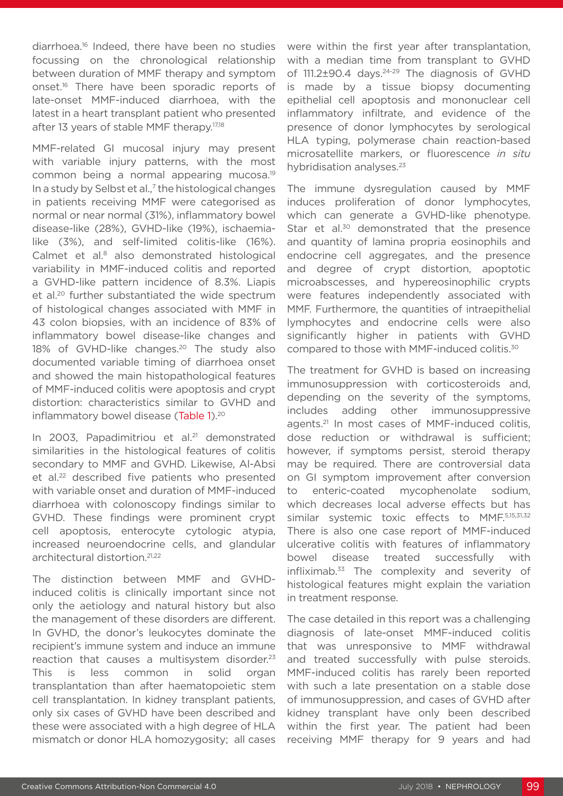diarrhoea.16 Indeed, there have been no studies focussing on the chronological relationship between duration of MMF therapy and symptom onset.<sup>16</sup> There have been sporadic reports of late-onset MMF-induced diarrhoea, with the latest in a heart transplant patient who presented after 13 years of stable MMF therapy.<sup>17,18</sup>

MMF-related GI mucosal injury may present with variable injury patterns, with the most common being a normal appearing mucosa.19 In a study by Selbst et al.,<sup>7</sup> the histological changes in patients receiving MMF were categorised as normal or near normal (31%), inflammatory bowel disease-like (28%), GVHD-like (19%), ischaemialike (3%), and self-limited colitis-like (16%). Calmet et al.<sup>8</sup> also demonstrated histological variability in MMF-induced colitis and reported a GVHD-like pattern incidence of 8.3%. Liapis et al.<sup>20</sup> further substantiated the wide spectrum of histological changes associated with MMF in 43 colon biopsies, with an incidence of 83% of inflammatory bowel disease-like changes and 18% of GVHD-like changes.<sup>20</sup> The study also documented variable timing of diarrhoea onset and showed the main histopathological features of MMF-induced colitis were apoptosis and crypt distortion: characteristics similar to GVHD and inflammatory bowel disease (Table 1).<sup>20</sup>

In 2003, Papadimitriou et al.<sup>21</sup> demonstrated similarities in the histological features of colitis secondary to MMF and GVHD. Likewise, Al-Absi et al.<sup>22</sup> described five patients who presented with variable onset and duration of MMF-induced diarrhoea with colonoscopy findings similar to GVHD. These findings were prominent crypt cell apoptosis, enterocyte cytologic atypia, increased neuroendocrine cells, and glandular architectural distortion.<sup>21,22</sup>

The distinction between MMF and GVHDinduced colitis is clinically important since not only the aetiology and natural history but also the management of these disorders are different. In GVHD, the donor's leukocytes dominate the recipient's immune system and induce an immune reaction that causes a multisystem disorder.<sup>23</sup> This is less common in solid organ transplantation than after haematopoietic stem cell transplantation. In kidney transplant patients, only six cases of GVHD have been described and these were associated with a high degree of HLA mismatch or donor HLA homozygosity; all cases

were within the first year after transplantation, with a median time from transplant to GVHD of 111.2±90.4 days.<sup>24-29</sup> The diagnosis of GVHD is made by a tissue biopsy documenting epithelial cell apoptosis and mononuclear cell inflammatory infiltrate, and evidence of the presence of donor lymphocytes by serological HLA typing, polymerase chain reaction-based microsatellite markers, or fluorescence *in situ* hybridisation analyses.<sup>23</sup>

The immune dysregulation caused by MMF induces proliferation of donor lymphocytes, which can generate a GVHD-like phenotype. Star et al.<sup>30</sup> demonstrated that the presence and quantity of lamina propria eosinophils and endocrine cell aggregates, and the presence and degree of crypt distortion, apoptotic microabscesses, and hypereosinophilic crypts were features independently associated with MMF. Furthermore, the quantities of intraepithelial lymphocytes and endocrine cells were also significantly higher in patients with GVHD compared to those with MMF-induced colitis.30

The treatment for GVHD is based on increasing immunosuppression with corticosteroids and, depending on the severity of the symptoms, includes adding other immunosuppressive agents.21 In most cases of MMF-induced colitis, dose reduction or withdrawal is sufficient; however, if symptoms persist, steroid therapy may be required. There are controversial data on GI symptom improvement after conversion to enteric-coated mycophenolate sodium, which decreases local adverse effects but has similar systemic toxic effects to MMF.5,15,31,32 There is also one case report of MMF-induced ulcerative colitis with features of inflammatory bowel disease treated successfully with infliximab. $33$  The complexity and severity of histological features might explain the variation in treatment response.

The case detailed in this report was a challenging diagnosis of late-onset MMF-induced colitis that was unresponsive to MMF withdrawal and treated successfully with pulse steroids. MMF-induced colitis has rarely been reported with such a late presentation on a stable dose of immunosuppression, and cases of GVHD after kidney transplant have only been described within the first year. The patient had been receiving MMF therapy for 9 years and had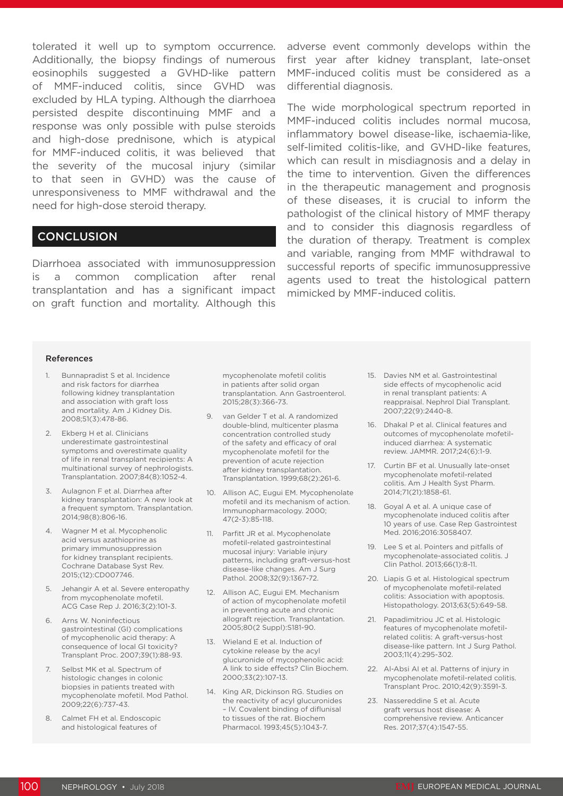tolerated it well up to symptom occurrence. adverse event commonly develops within the Additionally, the biopsy findings of numerous eosinophils suggested a GVHD-like pattern of MMF-induced colitis, since GVHD was excluded by HLA typing. Although the diarrhoea persisted despite discontinuing MMF and a response was only possible with pulse steroids and high-dose prednisone, which is atypical for MMF-induced colitis, it was believed that the severity of the mucosal injury (similar to that seen in GVHD) was the cause of unresponsiveness to MMF withdrawal and the need for high-dose steroid therapy.

### **CONCLUSION**

Diarrhoea associated with immunosuppression is a common complication after renal transplantation and has a significant impact on graft function and mortality. Although this

first year after kidney transplant, late-onset MMF-induced colitis must be considered as a differential diagnosis.

The wide morphological spectrum reported in MMF-induced colitis includes normal mucosa, inflammatory bowel disease-like, ischaemia-like, self-limited colitis-like, and GVHD-like features, which can result in misdiagnosis and a delay in the time to intervention. Given the differences in the therapeutic management and prognosis of these diseases, it is crucial to inform the pathologist of the clinical history of MMF therapy and to consider this diagnosis regardless of the duration of therapy. Treatment is complex and variable, ranging from MMF withdrawal to successful reports of specific immunosuppressive agents used to treat the histological pattern mimicked by MMF-induced colitis.

#### References

- 1. Bunnapradist S et al. Incidence and risk factors for diarrhea following kidney transplantation and association with graft loss and mortality. Am J Kidney Dis. 2008;51(3):478-86.
- 2. Ekberg H et al. Clinicians underestimate gastrointestinal symptoms and overestimate quality of life in renal transplant recipients: A multinational survey of nephrologists. Transplantation. 2007;84(8):1052-4.
- 3. Aulagnon F et al. Diarrhea after kidney transplantation: A new look at a frequent symptom. Transplantation. 2014;98(8):806-16.
- 4. Wagner M et al. Mycophenolic acid versus azathioprine as primary immunosuppression for kidney transplant recipients. Cochrane Database Syst Rev. 2015;(12):CD007746.
- 5. Jehangir A et al. Severe enteropathy from mycophenolate mofetil. ACG Case Rep J. 2016;3(2):101-3.
- 6. Arns W. Noninfectious gastrointestinal (GI) complications of mycophenolic acid therapy: A consequence of local GI toxicity? Transplant Proc. 2007;39(1):88-93.
- 7. Selbst MK et al. Spectrum of histologic changes in colonic biopsies in patients treated with mycophenolate mofetil. Mod Pathol. 2009;22(6):737-43.
- 8. Calmet FH et al. Endoscopic and histological features of

mycophenolate mofetil colitis in patients after solid organ transplantation. Ann Gastroenterol. 2015;28(3):366-73.

- 9. van Gelder T et al. A randomized double-blind, multicenter plasma concentration controlled study of the safety and efficacy of oral mycophenolate mofetil for the prevention of acute rejection after kidney transplantation. Transplantation. 1999;68(2):261-6.
- 10. Allison AC, Eugui EM. Mycophenolate mofetil and its mechanism of action. Immunopharmacology. 2000; 47(2-3):85-118.
- 11. Parfitt JR et al. Mycophenolate mofetil-related gastrointestinal mucosal injury: Variable injury patterns, including graft-versus-host disease-like changes. Am J Surg Pathol. 2008;32(9):1367-72.
- 12. Allison AC, Eugui EM. Mechanism of action of mycophenolate mofetil in preventing acute and chronic allograft rejection. Transplantation. 2005;80(2 Suppl):S181-90.
- 13. Wieland E et al. Induction of cytokine release by the acyl glucuronide of mycophenolic acid: A link to side effects? Clin Biochem. 2000;33(2):107-13.
- 14. King AR, Dickinson RG. Studies on the reactivity of acyl glucuronides – IV. Covalent binding of diflunisal to tissues of the rat. Biochem Pharmacol. 1993;45(5):1043-7.
- 15. Davies NM et al. Gastrointestinal side effects of mycophenolic acid in renal transplant patients: A reappraisal. Nephrol Dial Transplant. 2007;22(9):2440-8.
- 16. Dhakal P et al. Clinical features and outcomes of mycophenolate mofetilinduced diarrhea: A systematic review. JAMMR. 2017;24(6):1-9.
- 17. Curtin BF et al. Unusually late-onset mycophenolate mofetil-related colitis. Am J Health Syst Pharm. 2014;71(21):1858-61.
- 18. Goyal A et al. A unique case of mycophenolate induced colitis after 10 years of use. Case Rep Gastrointest Med. 2016;2016:3058407.
- 19. Lee S et al. Pointers and pitfalls of mycophenolate-associated colitis. J Clin Pathol. 2013;66(1):8-11.
- 20. Liapis G et al. Histological spectrum of mycophenolate mofetil-related colitis: Association with apoptosis. Histopathology. 2013;63(5):649-58.
- 21. Papadimitriou JC et al. Histologic features of mycophenolate mofetilrelated colitis: A graft-versus-host disease-like pattern. Int J Surg Pathol. 2003;11(4):295-302.
- 22. Al-Absi AI et al. Patterns of injury in mycophenolate mofetil-related colitis. Transplant Proc. 2010;42(9):3591-3.
- 23. Nassereddine S et al. Acute graft versus host disease: A comprehensive review. Anticancer Res. 2017;37(4):1547-55.